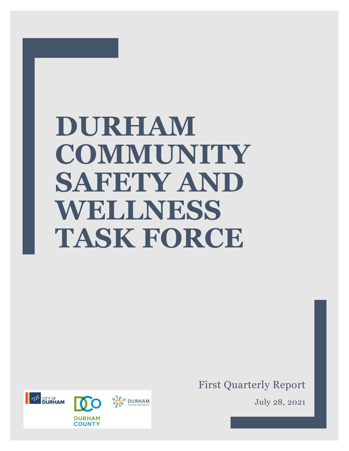# **DURHAM COMMUNITY SAFETY AND WELLNESS TASK FORCE**



First Quarterly Report

July 28, 2021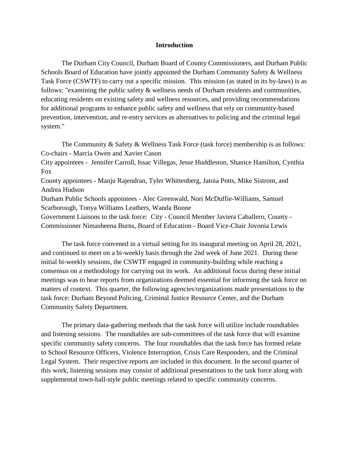#### **Introduction**

The Durham City Council, Durham Board of County Commissioners, and Durham Public Schools Board of Education have jointly appointed the Durham Community Safety & Wellness Task Force (CSWTF) to carry out a specific mission. This mission (as stated in its by-laws) is as follows: "examining the public safety & wellness needs of Durham residents and communities, educating residents on existing safety and wellness resources, and providing recommendations for additional programs to enhance public safety and wellness that rely on community-based prevention, intervention, and re-entry services as alternatives to policing and the criminal legal system."

The Community & Safety & Wellness Task Force (task force) membership is as follows: Co-chairs - Marcia Owen and Xavier Cason City appointees - Jennifer Carroll, Issac Villegas, Jesse Huddleston, Shanice Hamilton, Cynthia Fox County appointees - Manju Rajendran, Tyler Whittenberg, Jatoia Potts, Mike Sistrom, and Andrea Hudson Durham Public Schools appointees - Alec Greenwald, Nori McDuffie-Williams, Samuel Scarborough, Tonya Williams Leathers, Wanda Boone Government Liaisons to the task force: City - Council Member Javiera Caballero, County - Commissioner Nimasheena Burns, Board of Education - Board Vice-Chair Jovonia Lewis

The task force convened in a virtual setting for its inaugural meeting on April 28, 2021, and continued to meet on a bi-weekly basis through the 2nd week of June 2021. During these initial bi-weekly sessions, the CSWTF engaged in community-building while reaching a consensus on a methodology for carrying out its work. An additional focus during these initial meetings was to hear reports from organizations deemed essential for informing the task force on matters of context. This quarter, the following agencies/organizations made presentations to the task force: Durham Beyond Policing, Criminal Justice Resource Center, and the Durham Community Safety Department.

The primary data-gathering methods that the task force will utilize include roundtables and listening sessions. The roundtables are sub-committees of the task force that will examine specific community safety concerns. The four roundtables that the task force has formed relate to School Resource Officers, Violence Interruption, Crisis Care Responders, and the Criminal Legal System. Their respective reports are included in this document. In the second quarter of this work, listening sessions may consist of additional presentations to the task force along with supplemental town-hall-style public meetings related to specific community concerns.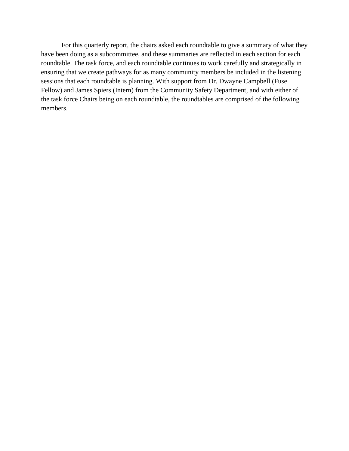For this quarterly report, the chairs asked each roundtable to give a summary of what they have been doing as a subcommittee, and these summaries are reflected in each section for each roundtable. The task force, and each roundtable continues to work carefully and strategically in ensuring that we create pathways for as many community members be included in the listening sessions that each roundtable is planning. With support from Dr. Dwayne Campbell (Fuse Fellow) and James Spiers (Intern) from the Community Safety Department, and with either of the task force Chairs being on each roundtable, the roundtables are comprised of the following members.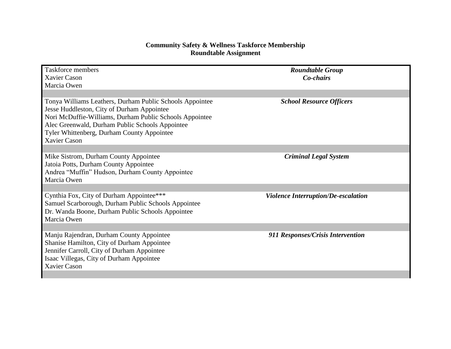## **Community Safety & Wellness Taskforce Membership Roundtable Assignment**

| <b>Taskforce members</b>                                        | <b>Roundtable Group</b>                    |
|-----------------------------------------------------------------|--------------------------------------------|
| Xavier Cason                                                    | Co-chairs                                  |
| Marcia Owen                                                     |                                            |
|                                                                 |                                            |
| Tonya Williams Leathers, Durham Public Schools Appointee        | <b>School Resource Officers</b>            |
| Jesse Huddleston, City of Durham Appointee                      |                                            |
| Nori McDuffie-Williams, Durham Public Schools Appointee         |                                            |
| Alec Greenwald, Durham Public Schools Appointee                 |                                            |
| Tyler Whittenberg, Durham County Appointee<br>Xavier Cason      |                                            |
|                                                                 |                                            |
| Mike Sistrom, Durham County Appointee                           | <b>Criminal Legal System</b>               |
| Jatoia Potts, Durham County Appointee                           |                                            |
| Andrea "Muffin" Hudson, Durham County Appointee                 |                                            |
| Marcia Owen                                                     |                                            |
|                                                                 |                                            |
| Cynthia Fox, City of Durham Appointee***                        | <b>Violence Interruption/De-escalation</b> |
| Samuel Scarborough, Durham Public Schools Appointee             |                                            |
| Dr. Wanda Boone, Durham Public Schools Appointee                |                                            |
| Marcia Owen                                                     |                                            |
|                                                                 |                                            |
| Manju Rajendran, Durham County Appointee                        | 911 Responses/Crisis Intervention          |
| Shanise Hamilton, City of Durham Appointee                      |                                            |
| Jennifer Carroll, City of Durham Appointee                      |                                            |
| Isaac Villegas, City of Durham Appointee<br><b>Xavier Cason</b> |                                            |
|                                                                 |                                            |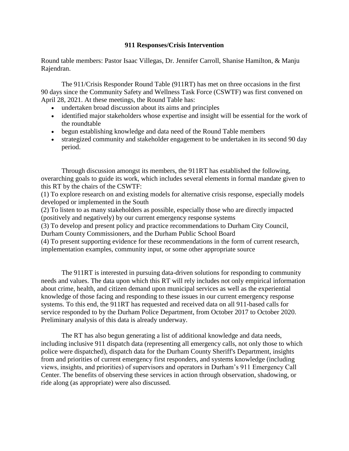## **911 Responses/Crisis Intervention**

Round table members: Pastor Isaac Villegas, Dr. Jennifer Carroll, Shanise Hamilton, & Manju Rajendran.

The 911/Crisis Responder Round Table (911RT) has met on three occasions in the first 90 days since the Community Safety and Wellness Task Force (CSWTF) was first convened on April 28, 2021. At these meetings, the Round Table has:

- undertaken broad discussion about its aims and principles
- identified major stakeholders whose expertise and insight will be essential for the work of the roundtable
- begun establishing knowledge and data need of the Round Table members
- strategized community and stakeholder engagement to be undertaken in its second 90 day period.

Through discussion amongst its members, the 911RT has established the following, overarching goals to guide its work, which includes several elements in formal mandate given to this RT by the chairs of the CSWTF:

(1) To explore research on and existing models for alternative crisis response, especially models developed or implemented in the South

(2) To listen to as many stakeholders as possible, especially those who are directly impacted (positively and negatively) by our current emergency response systems

(3) To develop and present policy and practice recommendations to Durham City Council, Durham County Commissioners, and the Durham Public School Board

(4) To present supporting evidence for these recommendations in the form of current research, implementation examples, community input, or some other appropriate source

The 911RT is interested in pursuing data-driven solutions for responding to community needs and values. The data upon which this RT will rely includes not only empirical information about crime, health, and citizen demand upon municipal services as well as the experiential knowledge of those facing and responding to these issues in our current emergency response systems. To this end, the 911RT has requested and received data on all 911-based calls for service responded to by the Durham Police Department, from October 2017 to October 2020. Preliminary analysis of this data is already underway.

The RT has also begun generating a list of additional knowledge and data needs, including inclusive 911 dispatch data (representing all emergency calls, not only those to which police were dispatched), dispatch data for the Durham County Sheriff's Department, insights from and priorities of current emergency first responders, and systems knowledge (including views, insights, and priorities) of supervisors and operators in Durham's 911 Emergency Call Center. The benefits of observing these services in action through observation, shadowing, or ride along (as appropriate) were also discussed.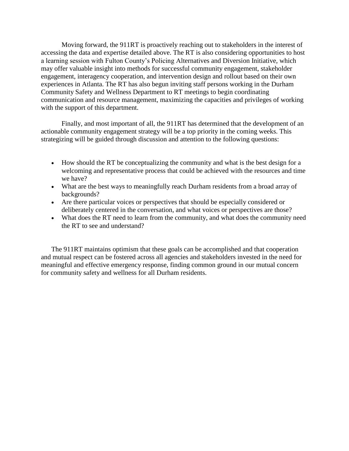Moving forward, the 911RT is proactively reaching out to stakeholders in the interest of accessing the data and expertise detailed above. The RT is also considering opportunities to host a learning session with Fulton County's Policing Alternatives and Diversion Initiative, which may offer valuable insight into methods for successful community engagement, stakeholder engagement, interagency cooperation, and intervention design and rollout based on their own experiences in Atlanta. The RT has also begun inviting staff persons working in the Durham Community Safety and Wellness Department to RT meetings to begin coordinating communication and resource management, maximizing the capacities and privileges of working with the support of this department.

Finally, and most important of all, the 911RT has determined that the development of an actionable community engagement strategy will be a top priority in the coming weeks. This strategizing will be guided through discussion and attention to the following questions:

- How should the RT be conceptualizing the community and what is the best design for a welcoming and representative process that could be achieved with the resources and time we have?
- What are the best ways to meaningfully reach Durham residents from a broad array of backgrounds?
- Are there particular voices or perspectives that should be especially considered or deliberately centered in the conversation, and what voices or perspectives are those?
- What does the RT need to learn from the community, and what does the community need the RT to see and understand?

The 911RT maintains optimism that these goals can be accomplished and that cooperation and mutual respect can be fostered across all agencies and stakeholders invested in the need for meaningful and effective emergency response, finding common ground in our mutual concern for community safety and wellness for all Durham residents.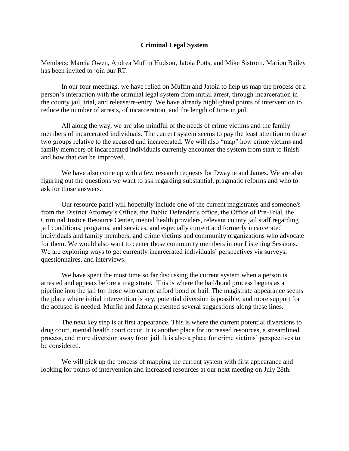#### **Criminal Legal System**

Members: Marcia Owen, Andrea Muffin Hudson, Jatoia Potts, and Mike Sistrom. Marion Bailey has been invited to join our RT.

In our four meetings, we have relied on Muffin and Jatoia to help us map the process of a person's interaction with the criminal legal system from initial arrest, through incarceration in the county jail, trial, and release/re-entry. We have already highlighted points of intervention to reduce the number of arrests, of incarceration, and the length of time in jail.

All along the way, we are also mindful of the needs of crime victims and the family members of incarcerated individuals. The current system seems to pay the least attention to these two groups relative to the accused and incarcerated. We will also "map" how crime victims and family members of incarcerated individuals currently encounter the system from start to finish and how that can be improved.

We have also come up with a few research requests for Dwayne and James. We are also figuring out the questions we want to ask regarding substantial, pragmatic reforms and who to ask for those answers.

Our resource panel will hopefully include one of the current magistrates and someone/s from the District Attorney's Office, the Public Defender's office, the Office of Pre-Trial, the Criminal Justice Resource Center, mental health providers, relevant county jail staff regarding jail conditions, programs, and services, and especially current and formerly incarcerated individuals and family members, and crime victims and community organizations who advocate for them. We would also want to center those community members in our Listening Sessions. We are exploring ways to get currently incarcerated individuals' perspectives via surveys, questionnaires, and interviews.

We have spent the most time so far discussing the current system when a person is arrested and appears before a magistrate. This is where the bail/bond process begins as a pipeline into the jail for those who cannot afford bond or bail. The magistrate appearance seems the place where initial intervention is key, potential diversion is possible, and more support for the accused is needed. Muffin and Jatoia presented several suggestions along these lines.

The next key step is at first appearance. This is where the current potential diversions to drug court, mental health court occur. It is another place for increased resources, a streamlined process, and more diversion away from jail. It is also a place for crime victims' perspectives to be considered.

We will pick up the process of mapping the current system with first appearance and looking for points of intervention and increased resources at our next meeting on July 28th.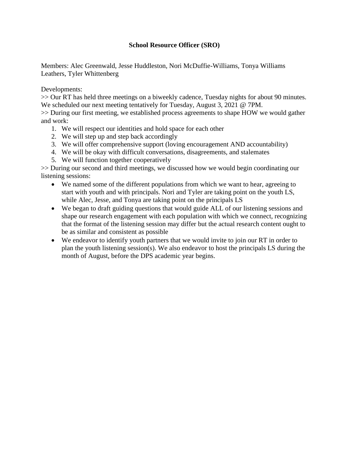# **School Resource Officer (SRO)**

Members: Alec Greenwald, Jesse Huddleston, Nori McDuffie-Williams, Tonya Williams Leathers, Tyler Whittenberg

Developments:

>> Our RT has held three meetings on a biweekly cadence, Tuesday nights for about 90 minutes. We scheduled our next meeting tentatively for Tuesday, August 3, 2021 @ 7PM.

>> During our first meeting, we established process agreements to shape HOW we would gather and work:

- 1. We will respect our identities and hold space for each other
- 2. We will step up and step back accordingly
- 3. We will offer comprehensive support (loving encouragement AND accountability)
- 4. We will be okay with difficult conversations, disagreements, and stalemates
- 5. We will function together cooperatively

>> During our second and third meetings, we discussed how we would begin coordinating our listening sessions:

- We named some of the different populations from which we want to hear, agreeing to start with youth and with principals. Nori and Tyler are taking point on the youth LS, while Alec, Jesse, and Tonya are taking point on the principals LS
- We began to draft guiding questions that would guide ALL of our listening sessions and shape our research engagement with each population with which we connect, recognizing that the format of the listening session may differ but the actual research content ought to be as similar and consistent as possible
- We endeavor to identify youth partners that we would invite to join our RT in order to plan the youth listening session(s). We also endeavor to host the principals LS during the month of August, before the DPS academic year begins.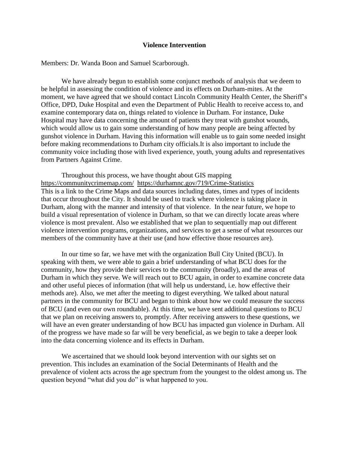#### **Violence Intervention**

Members: Dr. Wanda Boon and Samuel Scarborough.

We have already begun to establish some conjunct methods of analysis that we deem to be helpful in assessing the condition of violence and its effects on Durham-mites. At the moment, we have agreed that we should contact Lincoln Community Health Center, the Sheriff's Office, DPD, Duke Hospital and even the Department of Public Health to receive access to, and examine contemporary data on, things related to violence in Durham. For instance, Duke Hospital may have data concerning the amount of patients they treat with gunshot wounds, which would allow us to gain some understanding of how many people are being affected by gunshot violence in Durham. Having this information will enable us to gain some needed insight before making recommendations to Durham city officials.It is also important to include the community voice including those with lived experience, youth, young adults and representatives from Partners Against Crime.

Throughout this process, we have thought about GIS mapping <https://communitycrimemap.com/> <https://durhamnc.gov/719/Crime-Statistics> This is a link to the Crime Maps and data sources including dates, times and types of incidents that occur throughout the City. It should be used to track where violence is taking place in Durham, along with the manner and intensity of that violence. In the near future, we hope to build a visual representation of violence in Durham, so that we can directly locate areas where violence is most prevalent. Also we established that we plan to sequentially map out different violence intervention programs, organizations, and services to get a sense of what resources our members of the community have at their use (and how effective those resources are).

In our time so far, we have met with the organization Bull City United (BCU). In speaking with them, we were able to gain a brief understanding of what BCU does for the community, how they provide their services to the community (broadly), and the areas of Durham in which they serve. We will reach out to BCU again, in order to examine concrete data and other useful pieces of information (that will help us understand, i.e. how effective their methods are). Also, we met after the meeting to digest everything. We talked about natural partners in the community for BCU and began to think about how we could measure the success of BCU (and even our own roundtable). At this time, we have sent additional questions to BCU that we plan on receiving answers to, promptly. After receiving answers to these questions, we will have an even greater understanding of how BCU has impacted gun violence in Durham. All of the progress we have made so far will be very beneficial, as we begin to take a deeper look into the data concerning violence and its effects in Durham.

We ascertained that we should look beyond intervention with our sights set on prevention. This includes an examination of the Social Determinants of Health and the prevalence of violent acts across the age spectrum from the youngest to the oldest among us. The question beyond "what did you do" is what happened to you.